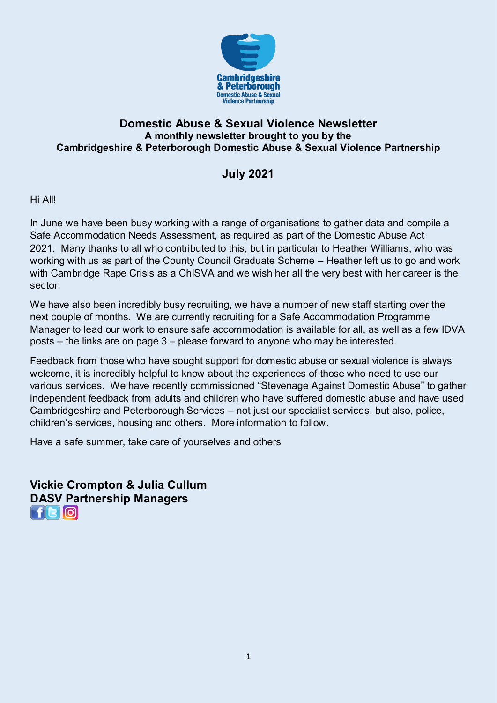

#### **Domestic Abuse & Sexual Violence Newsletter A monthly newsletter brought to you by the Cambridgeshire & Peterborough Domestic Abuse & Sexual Violence Partnership**

## **July 2021**

Hi All!

In June we have been busy working with a range of organisations to gather data and compile a Safe Accommodation Needs Assessment, as required as part of the Domestic Abuse Act 2021. Many thanks to all who contributed to this, but in particular to Heather Williams, who was working with us as part of the County Council Graduate Scheme – Heather left us to go and work with Cambridge Rape Crisis as a ChISVA and we wish her all the very best with her career is the sector.

We have also been incredibly busy recruiting, we have a number of new staff starting over the next couple of months. We are currently recruiting for a Safe Accommodation Programme Manager to lead our work to ensure safe accommodation is available for all, as well as a few IDVA posts – the links are on page 3 – please forward to anyone who may be interested.

Feedback from those who have sought support for domestic abuse or sexual violence is always welcome, it is incredibly helpful to know about the experiences of those who need to use our various services. We have recently commissioned "Stevenage Against Domestic Abuse" to gather independent feedback from adults and children who have suffered domestic abuse and have used Cambridgeshire and Peterborough Services – not just our specialist services, but also, police, children's services, housing and others. More information to follow.

Have a safe summer, take care of yourselves and others

**Vickie Crompton & Julia Cullum DASV Partnership Managers**  FR0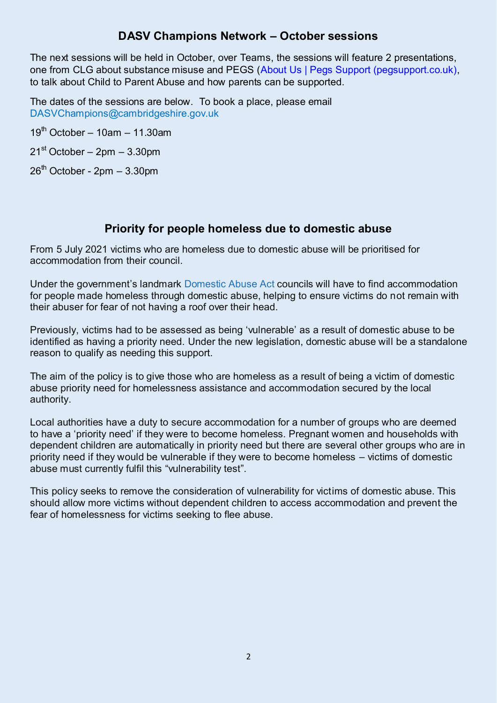### **DASV Champions Network – October sessions**

The next sessions will be held in October, over Teams, the sessions will feature 2 presentations, one from CLG about substance misuse and PEGS [\(About Us | Pegs Support \(pegsupport.co.uk\),](https://www.pegsupport.co.uk/about) to talk about Child to Parent Abuse and how parents can be supported.

The dates of the sessions are below. To book a place, please email [DASVChampions@cambridgeshire.gov.uk](mailto:DASVChampions@cambridgeshire.gov.uk) 

 $19<sup>th</sup>$  October – 10am – 11.30am

 $21<sup>st</sup> October – 2pm – 3.30pm$ 

 $26<sup>th</sup>$  October - 2pm - 3.30pm

## **Priority for people homeless due to domestic abuse**

From 5 July 2021 victims who are homeless due to domestic abuse will be prioritised for accommodation from their council.

Under the government's landmark [Domestic Abuse Act](https://www.gov.uk/government/publications/domestic-abuse-bill-2020-factsheets/homelessness) councils will have to find accommodation for people made homeless through domestic abuse, helping to ensure victims do not remain with their abuser for fear of not having a roof over their head.

Previously, victims had to be assessed as being 'vulnerable' as a result of domestic abuse to be identified as having a priority need. Under the new legislation, domestic abuse will be a standalone reason to qualify as needing this support.

The aim of the policy is to give those who are homeless as a result of being a victim of domestic abuse priority need for homelessness assistance and accommodation secured by the local authority.

Local authorities have a duty to secure accommodation for a number of groups who are deemed to have a 'priority need' if they were to become homeless. Pregnant women and households with dependent children are automatically in priority need but there are several other groups who are in priority need if they would be vulnerable if they were to become homeless – victims of domestic abuse must currently fulfil this "vulnerability test".

This policy seeks to remove the consideration of vulnerability for victims of domestic abuse. This should allow more victims without dependent children to access accommodation and prevent the fear of homelessness for victims seeking to flee abuse.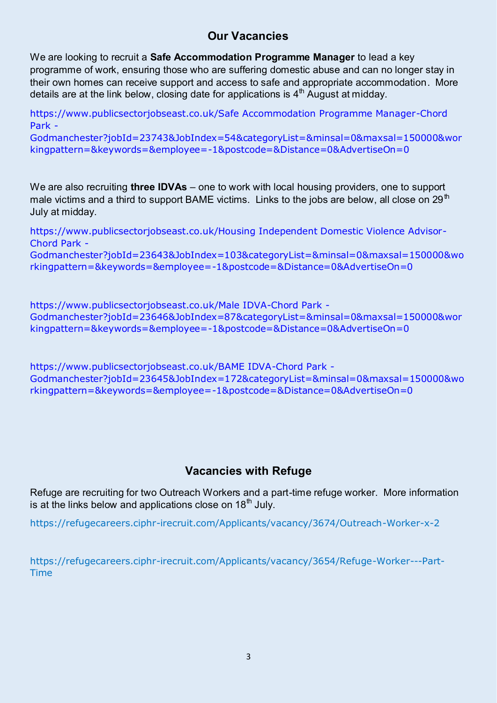## **Our Vacancies**

We are looking to recruit a **Safe Accommodation Programme Manager** to lead a key programme of work, ensuring those who are suffering domestic abuse and can no longer stay in their own homes can receive support and access to safe and appropriate accommodation. More details are at the link below, closing date for applications is  $4<sup>th</sup>$  August at midday.

[https://www.publicsectorjobseast.co.uk/Safe Accommodation Programme Manager-Chord](https://www.publicsectorjobseast.co.uk/Safe%20Accommodation%20Programme%20Manager-Chord%20Park%20-%20Godmanchester?jobId=23743&JobIndex=54&categoryList=&minsal=0&maxsal=150000&workingpattern=&keywords=&employee=-1&postcode=&Distance=0&AdvertiseOn=0)  [Park -](https://www.publicsectorjobseast.co.uk/Safe%20Accommodation%20Programme%20Manager-Chord%20Park%20-%20Godmanchester?jobId=23743&JobIndex=54&categoryList=&minsal=0&maxsal=150000&workingpattern=&keywords=&employee=-1&postcode=&Distance=0&AdvertiseOn=0) 

[Godmanchester?jobId=23743&JobIndex=54&categoryList=&minsal=0&maxsal=150000&wor](https://www.publicsectorjobseast.co.uk/Safe%20Accommodation%20Programme%20Manager-Chord%20Park%20-%20Godmanchester?jobId=23743&JobIndex=54&categoryList=&minsal=0&maxsal=150000&workingpattern=&keywords=&employee=-1&postcode=&Distance=0&AdvertiseOn=0) [kingpattern=&keywords=&employee=-1&postcode=&Distance=0&AdvertiseOn=0](https://www.publicsectorjobseast.co.uk/Safe%20Accommodation%20Programme%20Manager-Chord%20Park%20-%20Godmanchester?jobId=23743&JobIndex=54&categoryList=&minsal=0&maxsal=150000&workingpattern=&keywords=&employee=-1&postcode=&Distance=0&AdvertiseOn=0)

We are also recruiting **three IDVAs** – one to work with local housing providers, one to support male victims and a third to support BAME victims. Links to the jobs are below, all close on 29<sup>th</sup> July at midday.

[https://www.publicsectorjobseast.co.uk/Housing Independent Domestic Violence Advisor-](https://www.publicsectorjobseast.co.uk/Housing%20Independent%20Domestic%20Violence%20Advisor-Chord%20Park%20-%20Godmanchester?jobId=23643&JobIndex=103&categoryList=&minsal=0&maxsal=150000&workingpattern=&keywords=&employee=-1&postcode=&Distance=0&AdvertiseOn=0)[Chord Park -](https://www.publicsectorjobseast.co.uk/Housing%20Independent%20Domestic%20Violence%20Advisor-Chord%20Park%20-%20Godmanchester?jobId=23643&JobIndex=103&categoryList=&minsal=0&maxsal=150000&workingpattern=&keywords=&employee=-1&postcode=&Distance=0&AdvertiseOn=0)  [Godmanchester?jobId=23643&JobIndex=103&categoryList=&minsal=0&maxsal=150000&wo](https://www.publicsectorjobseast.co.uk/Housing%20Independent%20Domestic%20Violence%20Advisor-Chord%20Park%20-%20Godmanchester?jobId=23643&JobIndex=103&categoryList=&minsal=0&maxsal=150000&workingpattern=&keywords=&employee=-1&postcode=&Distance=0&AdvertiseOn=0)

[rkingpattern=&keywords=&employee=-1&postcode=&Distance=0&AdvertiseOn=0](https://www.publicsectorjobseast.co.uk/Housing%20Independent%20Domestic%20Violence%20Advisor-Chord%20Park%20-%20Godmanchester?jobId=23643&JobIndex=103&categoryList=&minsal=0&maxsal=150000&workingpattern=&keywords=&employee=-1&postcode=&Distance=0&AdvertiseOn=0)

[https://www.publicsectorjobseast.co.uk/Male IDVA-Chord Park -](https://www.publicsectorjobseast.co.uk/Male%20IDVA-Chord%20Park%20-%20Godmanchester?jobId=23646&JobIndex=87&categoryList=&minsal=0&maxsal=150000&workingpattern=&keywords=&employee=-1&postcode=&Distance=0&AdvertiseOn=0)  [Godmanchester?jobId=23646&JobIndex=87&categoryList=&minsal=0&maxsal=150000&wor](https://www.publicsectorjobseast.co.uk/Male%20IDVA-Chord%20Park%20-%20Godmanchester?jobId=23646&JobIndex=87&categoryList=&minsal=0&maxsal=150000&workingpattern=&keywords=&employee=-1&postcode=&Distance=0&AdvertiseOn=0) [kingpattern=&keywords=&employee=-1&postcode=&Distance=0&AdvertiseOn=0](https://www.publicsectorjobseast.co.uk/Male%20IDVA-Chord%20Park%20-%20Godmanchester?jobId=23646&JobIndex=87&categoryList=&minsal=0&maxsal=150000&workingpattern=&keywords=&employee=-1&postcode=&Distance=0&AdvertiseOn=0)

[https://www.publicsectorjobseast.co.uk/BAME IDVA-Chord Park -](https://www.publicsectorjobseast.co.uk/BAME%20IDVA-Chord%20Park%20-%20Godmanchester?jobId=23645&JobIndex=172&categoryList=&minsal=0&maxsal=150000&workingpattern=&keywords=&employee=-1&postcode=&Distance=0&AdvertiseOn=0)  [Godmanchester?jobId=23645&JobIndex=172&categoryList=&minsal=0&maxsal=150000&wo](https://www.publicsectorjobseast.co.uk/BAME%20IDVA-Chord%20Park%20-%20Godmanchester?jobId=23645&JobIndex=172&categoryList=&minsal=0&maxsal=150000&workingpattern=&keywords=&employee=-1&postcode=&Distance=0&AdvertiseOn=0) [rkingpattern=&keywords=&employee=-1&postcode=&Distance=0&AdvertiseOn=0](https://www.publicsectorjobseast.co.uk/BAME%20IDVA-Chord%20Park%20-%20Godmanchester?jobId=23645&JobIndex=172&categoryList=&minsal=0&maxsal=150000&workingpattern=&keywords=&employee=-1&postcode=&Distance=0&AdvertiseOn=0)

## **Vacancies with Refuge**

Refuge are recruiting for two Outreach Workers and a part-time refuge worker. More information is at the links below and applications close on  $18<sup>th</sup>$  July.

<https://refugecareers.ciphr-irecruit.com/Applicants/vacancy/3674/Outreach-Worker-x-2>

[https://refugecareers.ciphr-irecruit.com/Applicants/vacancy/3654/Refuge-Worker---Part-](https://refugecareers.ciphr-irecruit.com/Applicants/vacancy/3654/Refuge-Worker---Part-Time)[Time](https://refugecareers.ciphr-irecruit.com/Applicants/vacancy/3654/Refuge-Worker---Part-Time)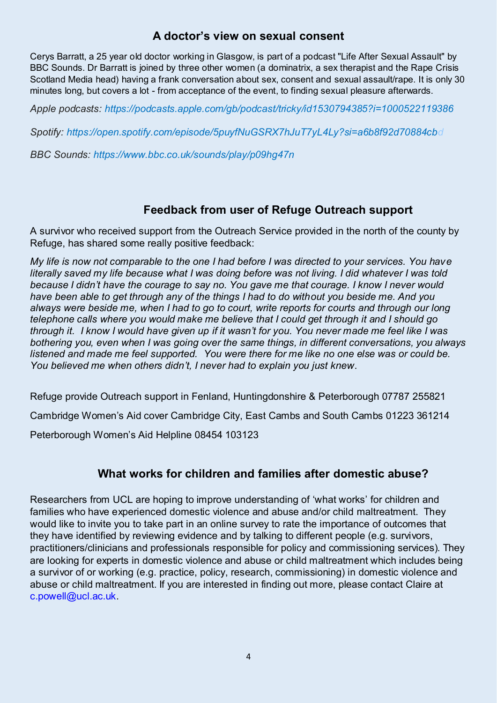### **A doctor's view on sexual consent**

Cerys Barratt, a 25 year old doctor working in Glasgow, is part of a podcast "Life After Sexual Assault" by BBC Sounds. Dr Barratt is joined by three other women (a dominatrix, a sex therapist and the Rape Crisis Scotland Media head) having a frank conversation about sex, consent and sexual assault/rape. It is only 30 minutes long, but covers a lot - from acceptance of the event, to finding sexual pleasure afterwards.

*Apple podcasts: [https://podcasts.apple.com/gb/podcast/tricky/id1530794385?i=1000522119386](https://eur03.safelinks.protection.outlook.com/?url=https%3A%2F%2Fpodcasts.apple.com%2Fgb%2Fpodcast%2Ftricky%2Fid1530794385%3Fi%3D1000522119386&data=04%7C01%7CAlison.Hadley%40beds.ac.uk%7C82ffa5cc10c84c28f1c808d92cbba54d%7C3133dbdc3c644bdaa66a751445a19275%7C1%7C1%7C637590006721202281%7CUnknown%7CTWFpbGZsb3d8eyJWIjoiMC4wLjAwMDAiLCJQIjoiV2luMzIiLCJBTiI6Ik1haWwiLCJXVCI6Mn0%3D%7C1000&sdata=NvNWAIxGRj2NIXshc%2B8mbnKm742XUcW5hto9CSJQxZg%3D&reserved=0)* 

*Spotify: [https://open.spotify.com/episode/5puyfNuGSRX7hJuT7yL4Ly?si=a6b8f92d70884cbd](https://eur03.safelinks.protection.outlook.com/?url=https%3A%2F%2Fopen.spotify.com%2Fepisode%2F5puyfNuGSRX7hJuT7yL4Ly%3Fsi%3Da6b8f92d70884cbd&data=04%7C01%7CAlison.Hadley%40beds.ac.uk%7C82ffa5cc10c84c28f1c808d92cbba54d%7C3133dbdc3c644bdaa66a751445a19275%7C1%7C1%7C637590006721212275%7CUnknown%7CTWFpbGZsb3d8eyJWIjoiMC4wLjAwMDAiLCJQIjoiV2luMzIiLCJBTiI6Ik1haWwiLCJXVCI6Mn0%3D%7C1000&sdata=T49xP7qtgAJINCGGd9udC7Suxhf522xtyRvsqRTcQOs%3D&reserved=0)*

*BBC Sounds: [https://www.bbc.co.uk/sounds/play/p09hg47n](https://eur03.safelinks.protection.outlook.com/?url=https%3A%2F%2Fwww.bbc.co.uk%2Fsounds%2Fplay%2Fp09hg47n&data=04%7C01%7CAlison.Hadley%40beds.ac.uk%7C82ffa5cc10c84c28f1c808d92cbba54d%7C3133dbdc3c644bdaa66a751445a19275%7C1%7C1%7C637590006721212275%7CUnknown%7CTWFpbGZsb3d8eyJWIjoiMC4wLjAwMDAiLCJQIjoiV2luMzIiLCJBTiI6Ik1haWwiLCJXVCI6Mn0%3D%7C1000&sdata=TQnhePCoSesGPVlxeowk2xVhYyYt1iDQRTu5eteMSr4%3D&reserved=0)*

#### **Feedback from user of Refuge Outreach support**

A survivor who received support from the Outreach Service provided in the north of the county by Refuge, has shared some really positive feedback:

*My life is now not comparable to the one I had before I was directed to your services. You have literally saved my life because what I was doing before was not living. I did whatever I was told because I didn't have the courage to say no. You gave me that courage. I know I never would have been able to get through any of the things I had to do without you beside me. And you always were beside me, when I had to go to court, write reports for courts and through our long telephone calls where you would make me believe that I could get through it and I should go through it. I know I would have given up if it wasn't for you. You never made me feel like I was bothering you, even when I was going over the same things, in different conversations, you always listened and made me feel supported. You were there for me like no one else was or could be. You believed me when others didn't, I never had to explain you just knew*.

Refuge provide Outreach support in Fenland, Huntingdonshire & Peterborough 07787 255821 Cambridge Women's Aid cover Cambridge City, East Cambs and South Cambs 01223 361214 Peterborough Women's Aid Helpline 08454 103123

## **What works for children and families after domestic abuse?**

Researchers from UCL are hoping to improve understanding of 'what works' for children and families who have experienced domestic violence and abuse and/or child maltreatment. They would like to invite you to take part in an online survey to rate the importance of outcomes that they have identified by reviewing evidence and by talking to different people (e.g. survivors, practitioners/clinicians and professionals responsible for policy and commissioning services). They are looking for experts in domestic violence and abuse or child maltreatment which includes being a survivor of or working (e.g. practice, policy, research, commissioning) in domestic violence and abuse or child maltreatment. If you are interested in finding out more, please contact Claire at [c.powell@ucl.ac.uk.](mailto:c.powell@ucl.ac.uk)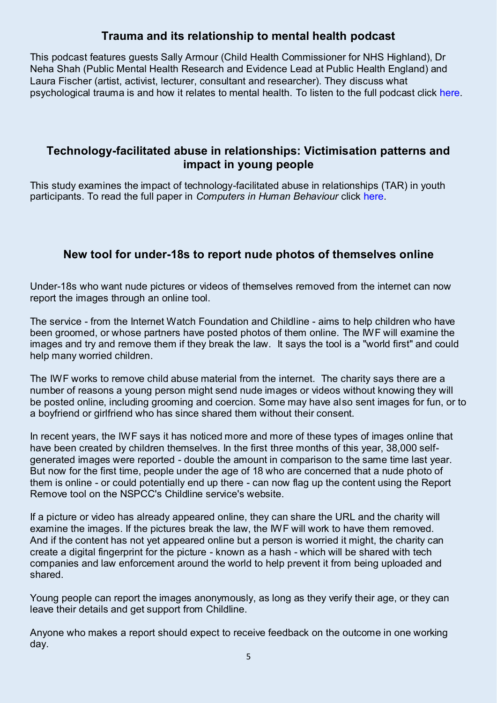## **Trauma and its relationship to mental health podcast**

This podcast features guests Sally Armour (Child Health Commissioner for NHS Highland), Dr Neha Shah (Public Mental Health Research and Evidence Lead at Public Health England) and Laura Fischer (artist, activist, lecturer, consultant and researcher). They discuss what psychological trauma is and how it relates to mental health. To listen to the full podcast click [here.](https://eur03.safelinks.protection.outlook.com/?url=https%3A%2F%2Fwww.buzzsprout.com%2F1427881%2F8518754-trauma-and-its-relationship-to-mental-health-dr-neha-shah-sally-armour-laura-fischer&data=04%7C01%7Cvamhn%40kcl.ac.uk%7C2a5981e9b14a45bada3a08d93181334d%7C8370cf1416f34c16b83c724071654356%7C0%7C0%7C637595253257152685%7CUnknown%7CTWFpbGZsb3d8eyJWIjoiMC4wLjAwMDAiLCJQIjoiV2luMzIiLCJBTiI6Ik1haWwiLCJXVCI6Mn0%3D%7C1000&sdata=%2FLH7cacqz4A%2BDdJRsTUKgoTqFbBiXFrN%2Bi98HV7KYZc%3D&reserved=0)

## **Technology-facilitated abuse in relationships: Victimisation patterns and impact in young people**

This study examines the impact of technology-facilitated abuse in relationships (TAR) in youth participants. To read the full paper in *Computers in Human Behaviour* click [here.](https://eur03.safelinks.protection.outlook.com/?url=https%3A%2F%2Fwww.sciencedirect.com%2Fscience%2Farticle%2Fabs%2Fpii%2FS074756322100220X&data=04%7C01%7Cvamhn%40kcl.ac.uk%7C2a5981e9b14a45bada3a08d93181334d%7C8370cf1416f34c16b83c724071654356%7C0%7C0%7C637595253257172678%7CUnknown%7CTWFpbGZsb3d8eyJWIjoiMC4wLjAwMDAiLCJQIjoiV2luMzIiLCJBTiI6Ik1haWwiLCJXVCI6Mn0%3D%7C1000&sdata=3%2Fnf2sDCA17QRvDefaHmrI8tC7hFRa0Cj5VKD88JPbg%3D&reserved=0)

## **New tool for under-18s to report nude photos of themselves online**

Under-18s who want nude pictures or videos of themselves removed from the internet can now report the images through [an online tool.](https://www.childline.org.uk/info-advice/bullying-abuse-safety/online-mobile-safety/remove-nude-image-shared-online/) 

The service - from the Internet Watch Foundation and Childline - aims to help children who have been groomed, or whose partners have posted photos of them online. The IWF will examine the images and try and remove them if they break the law. It says the tool is a "world first" and could help many worried children.

The IWF works to remove child abuse material from the internet. The charity says there are a number of reasons a young person might send nude images or videos without knowing they will be posted online, including grooming and coercion. Some may have also sent images for fun, or to a boyfriend or girlfriend who has since shared them without their consent.

In recent years, the IWF says it has noticed more and more of these types of images online that have been created by children themselves. In the first three months of this year, 38,000 selfgenerated images were reported - double the amount in comparison to the same time last year. But now for the first time, people under the age of 18 who are concerned that a nude photo of them is online - or could potentially end up there - can now flag up the content using the Report Remove tool on the NSPCC's Childline service's website.

If a picture or video has already appeared online, they can share the URL and the charity will examine the images. If the pictures break the law, the IWF will work to have them removed. And if the content has not yet appeared online but a person is worried it might, the charity can create a digital fingerprint for the picture - known as a hash - which will be shared with tech companies and law enforcement around the world to help prevent it from being uploaded and shared.

Young people can report the images anonymously, as long as they verify their age, or they can leave their details and get support from Childline.

Anyone who makes a report should expect to receive feedback on the outcome in one working day.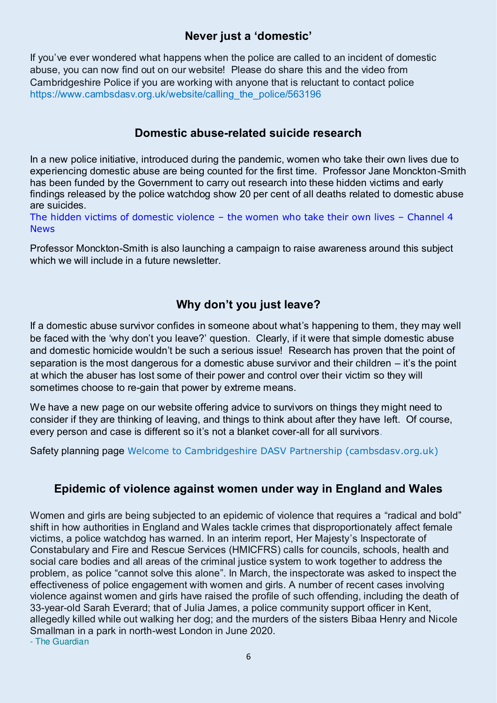## **Never just a 'domestic'**

If you've ever wondered what happens when the police are called to an incident of domestic abuse, you can now find out on our website! Please do share this and the video from Cambridgeshire Police if you are working with anyone that is reluctant to contact police https://www.cambsdasv.org.uk/website/calling\_the\_police/563196

### **Domestic abuse-related suicide research**

In a new police initiative, introduced during the pandemic, women who take their own lives due to experiencing domestic abuse are being counted for the first time. Professor Jane Monckton-Smith has been funded by the Government to carry out research into these hidden victims and early findings released by the police watchdog show 20 per cent of all deaths related to domestic abuse are suicides.

[The hidden victims of domestic violence](https://www.channel4.com/news/the-hidden-victims-of-domestic-violence-the-women-who-take-their-own-lives) – the women who take their own lives – Channel 4 [News](https://www.channel4.com/news/the-hidden-victims-of-domestic-violence-the-women-who-take-their-own-lives)

Professor Monckton-Smith is also launching a campaign to raise awareness around this subject which we will include in a future newsletter.

# **Why don't you just leave?**

If a domestic abuse survivor confides in someone about what's happening to them, they may well be faced with the 'why don't you leave?' question. Clearly, if it were that simple domestic abuse and domestic homicide wouldn't be such a serious issue! Research has proven that the point of separation is the most dangerous for a domestic abuse survivor and their children – it's the point at which the abuser has lost some of their power and control over their victim so they will sometimes choose to re-gain that power by extreme means.

We have a new page on our website offering advice to survivors on things they might need to consider if they are thinking of leaving, and things to think about after they have left. Of course, every person and case is different so it's not a blanket cover-all for all survivors.

Safety planning page [Welcome to Cambridgeshire DASV Partnership \(cambsdasv.org.uk\)](https://www.cambsdasv.org.uk/website/safety_planning/331019)

## **Epidemic of violence against women under way in England and Wales**

Women and girls are being subjected to an epidemic of violence that requires a "radical and bold" shift in how authorities in England and Wales tackle crimes that disproportionately affect female victims, a police watchdog has warned. In an interim report, Her Majesty's Inspectorate of Constabulary and Fire and Rescue Services (HMICFRS) calls for councils, schools, health and social care bodies and all areas of the criminal justice system to work together to address the problem, as police "cannot solve this alone". In March, the inspectorate was asked to inspect the effectiveness of police engagement with women and girls. A number of recent cases involving violence against women and girls have raised the profile of such offending, including the death of 33-year-old Sarah Everard; that of Julia James, a police community support officer in Kent, allegedly killed while out walking her dog; and the murders of the sisters Bibaa Henry and Nicole Smallman in a park in north-west London in June 2020. [- The Guardian](https://domestic-abuse.us3.list-manage.com/track/click?u=bda67bdea4d7f8cc23a059e34&id=a035886b27&e=33ef8dce61)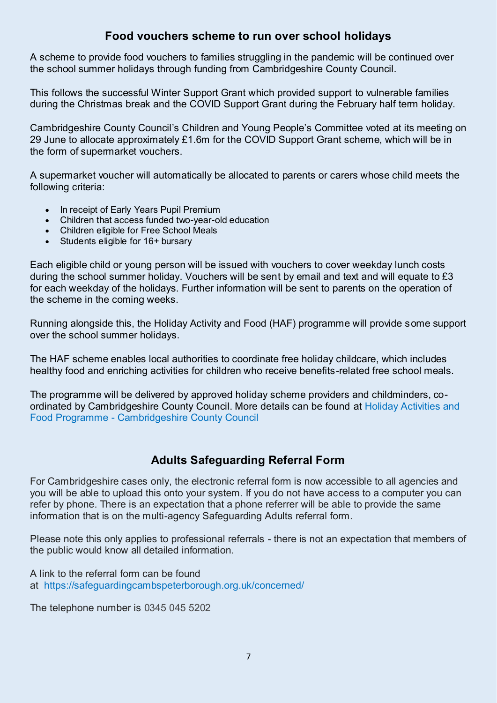#### **Food vouchers scheme to run over school holidays**

A scheme to provide food vouchers to families struggling in the pandemic will be continued over the school summer holidays through funding from Cambridgeshire County Council.

This follows the successful Winter Support Grant which provided support to vulnerable families during the Christmas break and the COVID Support Grant during the February half term holiday.

Cambridgeshire County Council's Children and Young People's Committee voted at its meeting on 29 June to allocate approximately £1.6m for the COVID Support Grant scheme, which will be in the form of supermarket vouchers.

A supermarket voucher will automatically be allocated to parents or carers whose child meets the following criteria:

- In receipt of Early Years Pupil Premium
- Children that access funded two-year-old education
- Children eligible for Free School Meals
- Students eligible for 16+ bursary

Each eligible child or young person will be issued with vouchers to cover weekday lunch costs during the school summer holiday. Vouchers will be sent by email and text and will equate to £3 for each weekday of the holidays. Further information will be sent to parents on the operation of the scheme in the coming weeks.

Running alongside this, the Holiday Activity and Food (HAF) programme will provide some support over the school summer holidays.

The HAF scheme enables local authorities to coordinate free holiday childcare, which includes healthy food and enriching activities for children who receive benefits-related free school meals.

The programme will be delivered by approved holiday scheme providers and childminders, coordinated by Cambridgeshire County Council. More details can be found at [Holiday Activities and](https://www.cambridgeshire.gov.uk/news/holiday-activities-and-food-programme)  [Food Programme - Cambridgeshire County Council](https://www.cambridgeshire.gov.uk/news/holiday-activities-and-food-programme)

## **Adults Safeguarding Referral Form**

For Cambridgeshire cases only, the electronic referral form is now accessible to all agencies and you will be able to upload this onto your system. If you do not have access to a computer you can refer by phone. There is an expectation that a phone referrer will be able to provide the same information that is on the multi-agency Safeguarding Adults referral form.

Please note this only applies to professional referrals - there is not an expectation that members of the public would know all detailed information.

A link to the referral form can be found at <https://safeguardingcambspeterborough.org.uk/concerned/>

The telephone number is 0345 045 5202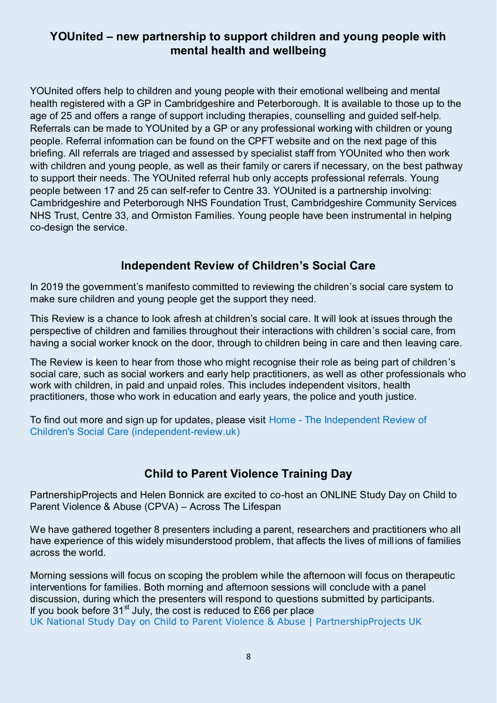## **YOUnited – new partnership to support children and young people with mental health and wellbeing**

YOUnited offers help to children and young people with their emotional wellbeing and mental health registered with a GP in Cambridgeshire and Peterborough. It is available to those up to the age of 25 and offers a range of support including therapies, counselling and guided self-help. Referrals can be made to YOUnited by a GP or any professional working with children or young people. Referral information can be found on the CPFT website and on the next page of this briefing. All referrals are triaged and assessed by specialist staff from YOUnited who then work with children and young people, as well as their family or carers if necessary, on the best pathway to support their needs. The YOUnited referral hub only accepts professional referrals. Young people between 17 and 25 can self-refer to Centre 33. YOUnited is a partnership involving: Cambridgeshire and Peterborough NHS Foundation Trust, Cambridgeshire Community Services NHS Trust, Centre 33, and Ormiston Families. Young people have been instrumental in helping co-design the service.

## **Independent Review of Children's Social Care**

In 2019 the government's manifesto committed to reviewing the children's social care system to make sure children and young people get the support they need.

This Review is a chance to look afresh at children's social care. It will look at issues through the perspective of children and families throughout their interactions with children's social care, from having a social worker knock on the door, through to children being in care and then leaving care.

The Review is keen to hear from those who might recognise their role as being part of children's social care, such as social workers and early help practitioners, as well as other professionals who work with children, in paid and unpaid roles. This includes independent visitors, health practitioners, those who work in education and early years, the police and youth justice.

To find out more and sign up for updates, please visit [Home - The Independent Review of](https://childrenssocialcare.independent-review.uk/)  [Children's Social Care \(independent-review.uk\)](https://childrenssocialcare.independent-review.uk/)

## **Child to Parent Violence Training Day**

PartnershipProjects and Helen Bonnick are excited to co-host an ONLINE Study Day on Child to Parent Violence & Abuse (CPVA) – Across The Lifespan

We have gathered together 8 presenters including a parent, researchers and practitioners who all have experience of this widely misunderstood problem, that affects the lives of millions of families across the world.

Morning sessions will focus on scoping the problem while the afternoon will focus on therapeutic interventions for families. Both morning and afternoon sessions will conclude with a panel discussion, during which the presenters will respond to questions submitted by participants. If you book before  $31<sup>st</sup>$  July, the cost is reduced to £66 per place [UK National Study Day on Child to Parent Violence & Abuse | PartnershipProjects UK](https://www.partnershipprojectsuk.com/project/cpva-study-day/)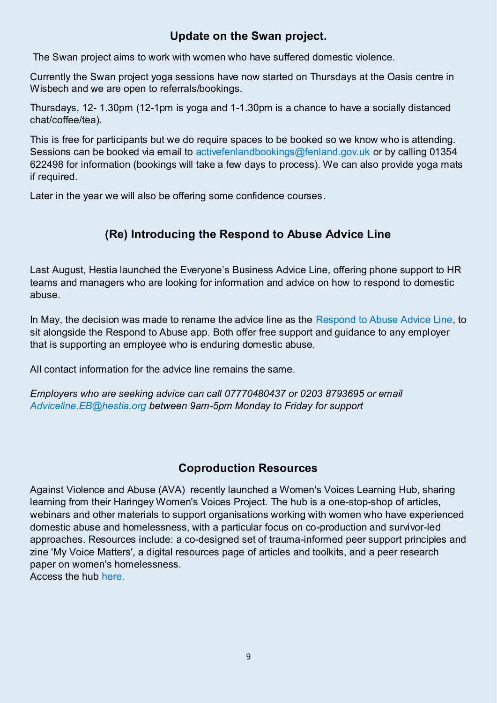## **Update on the Swan project.**

The Swan project aims to work with women who have suffered domestic violence.

Currently the Swan project yoga sessions have now started on Thursdays at the Oasis centre in Wisbech and we are open to referrals/bookings.

Thursdays, 12- 1.30pm (12-1pm is yoga and 1-1.30pm is a chance to have a socially distanced chat/coffee/tea).

This is free for participants but we do require spaces to be booked so we know who is attending. Sessions can be booked via email to [activefenlandbookings@fenland.gov.uk](mailto:activefenlandbookings@fenland.gov.uk) or by calling 01354 622498 for information (bookings will take a few days to process). We can also provide yoga mats if required.

Later in the year we will also be offering some confidence courses.

## **(Re) Introducing the Respond to Abuse Advice Line**

Last August, Hestia launched the Everyone's Business Advice Line, offering phone support to HR teams and managers who are looking for information and advice on how to respond to domestic abuse.

In May, the decision was made to rename the advice line as the [Respond to Abuse Advice Line,](https://uksaysnomore.us13.list-manage.com/track/click?u=f702765ec6b0e2cf4fd53da6e&id=72c1038d94&e=8fe96015cd) to sit alongside the Respond to Abuse app. Both offer free support and guidance to any employer that is supporting an employee who is enduring domestic abuse.

All contact information for the advice line remains the same.

*Employers who are seeking advice can call 07770480437 or 0203 8793695 or email [Adviceline.EB@hestia.org](mailto:Adviceline.EB@hestia.org) between 9am-5pm Monday to Friday for support*

## **Coproduction Resources**

Against Violence and Abuse (AVA) recently launched a Women's Voices Learning Hub, sharing learning from their Haringey Women's Voices Project. The hub is a one-stop-shop of articles, webinars and other materials to support organisations working with women who have experienced domestic abuse and homelessness, with a particular focus on co-production and survivor-led approaches. Resources include: a co-designed set of trauma-informed peer support principles and zine 'My Voice Matters', a digital resources page of articles and toolkits, and a peer research paper on women's homelessness. Access the hub [here.](https://avaproject.us8.list-manage.com/track/click?u=b6cad4bf28dbfff8f462411a3&id=4463a73ee0&e=273e6b246c)